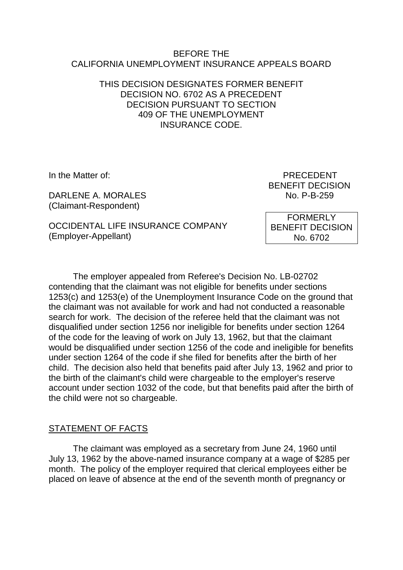### BEFORE THE CALIFORNIA UNEMPLOYMENT INSURANCE APPEALS BOARD

# THIS DECISION DESIGNATES FORMER BENEFIT DECISION NO. 6702 AS A PRECEDENT DECISION PURSUANT TO SECTION 409 OF THE UNEMPLOYMENT INSURANCE CODE.

DARLENE A. MORALES No. P-B-259 (Claimant-Respondent)

OCCIDENTAL LIFE INSURANCE COMPANY (Employer-Appellant)

In the Matter of: PRECEDENT BENEFIT DECISION

> FORMERLY BENEFIT DECISION No. 6702

The employer appealed from Referee's Decision No. LB-02702 contending that the claimant was not eligible for benefits under sections 1253(c) and 1253(e) of the Unemployment Insurance Code on the ground that the claimant was not available for work and had not conducted a reasonable search for work. The decision of the referee held that the claimant was not disqualified under section 1256 nor ineligible for benefits under section 1264 of the code for the leaving of work on July 13, 1962, but that the claimant would be disqualified under section 1256 of the code and ineligible for benefits under section 1264 of the code if she filed for benefits after the birth of her child. The decision also held that benefits paid after July 13, 1962 and prior to the birth of the claimant's child were chargeable to the employer's reserve account under section 1032 of the code, but that benefits paid after the birth of the child were not so chargeable.

## STATEMENT OF FACTS

The claimant was employed as a secretary from June 24, 1960 until July 13, 1962 by the above-named insurance company at a wage of \$285 per month. The policy of the employer required that clerical employees either be placed on leave of absence at the end of the seventh month of pregnancy or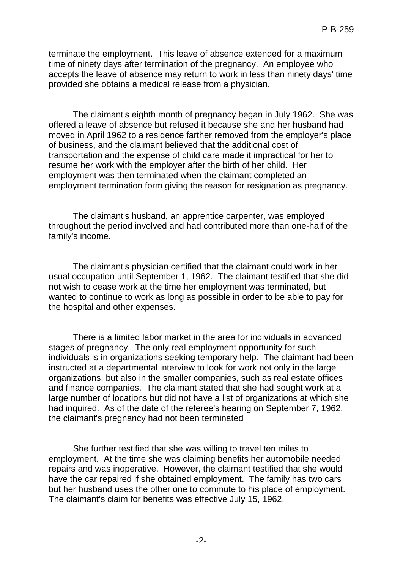terminate the employment. This leave of absence extended for a maximum time of ninety days after termination of the pregnancy. An employee who accepts the leave of absence may return to work in less than ninety days' time provided she obtains a medical release from a physician.

The claimant's eighth month of pregnancy began in July 1962. She was offered a leave of absence but refused it because she and her husband had moved in April 1962 to a residence farther removed from the employer's place of business, and the claimant believed that the additional cost of transportation and the expense of child care made it impractical for her to resume her work with the employer after the birth of her child. Her employment was then terminated when the claimant completed an employment termination form giving the reason for resignation as pregnancy.

The claimant's husband, an apprentice carpenter, was employed throughout the period involved and had contributed more than one-half of the family's income.

The claimant's physician certified that the claimant could work in her usual occupation until September 1, 1962. The claimant testified that she did not wish to cease work at the time her employment was terminated, but wanted to continue to work as long as possible in order to be able to pay for the hospital and other expenses.

There is a limited labor market in the area for individuals in advanced stages of pregnancy. The only real employment opportunity for such individuals is in organizations seeking temporary help. The claimant had been instructed at a departmental interview to look for work not only in the large organizations, but also in the smaller companies, such as real estate offices and finance companies. The claimant stated that she had sought work at a large number of locations but did not have a list of organizations at which she had inquired. As of the date of the referee's hearing on September 7, 1962, the claimant's pregnancy had not been terminated

She further testified that she was willing to travel ten miles to employment. At the time she was claiming benefits her automobile needed repairs and was inoperative. However, the claimant testified that she would have the car repaired if she obtained employment. The family has two cars but her husband uses the other one to commute to his place of employment. The claimant's claim for benefits was effective July 15, 1962.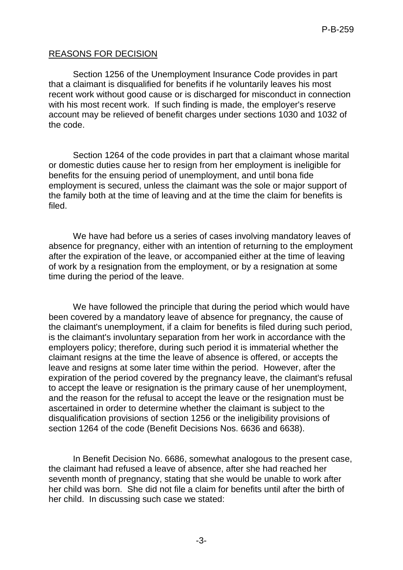# REASONS FOR DECISION

Section 1256 of the Unemployment Insurance Code provides in part that a claimant is disqualified for benefits if he voluntarily leaves his most recent work without good cause or is discharged for misconduct in connection with his most recent work. If such finding is made, the employer's reserve account may be relieved of benefit charges under sections 1030 and 1032 of the code.

Section 1264 of the code provides in part that a claimant whose marital or domestic duties cause her to resign from her employment is ineligible for benefits for the ensuing period of unemployment, and until bona fide employment is secured, unless the claimant was the sole or major support of the family both at the time of leaving and at the time the claim for benefits is filed.

We have had before us a series of cases involving mandatory leaves of absence for pregnancy, either with an intention of returning to the employment after the expiration of the leave, or accompanied either at the time of leaving of work by a resignation from the employment, or by a resignation at some time during the period of the leave.

We have followed the principle that during the period which would have been covered by a mandatory leave of absence for pregnancy, the cause of the claimant's unemployment, if a claim for benefits is filed during such period, is the claimant's involuntary separation from her work in accordance with the employers policy; therefore, during such period it is immaterial whether the claimant resigns at the time the leave of absence is offered, or accepts the leave and resigns at some later time within the period. However, after the expiration of the period covered by the pregnancy leave, the claimant's refusal to accept the leave or resignation is the primary cause of her unemployment, and the reason for the refusal to accept the leave or the resignation must be ascertained in order to determine whether the claimant is subject to the disqualification provisions of section 1256 or the ineligibility provisions of section 1264 of the code (Benefit Decisions Nos. 6636 and 6638).

In Benefit Decision No. 6686, somewhat analogous to the present case, the claimant had refused a leave of absence, after she had reached her seventh month of pregnancy, stating that she would be unable to work after her child was born. She did not file a claim for benefits until after the birth of her child. In discussing such case we stated: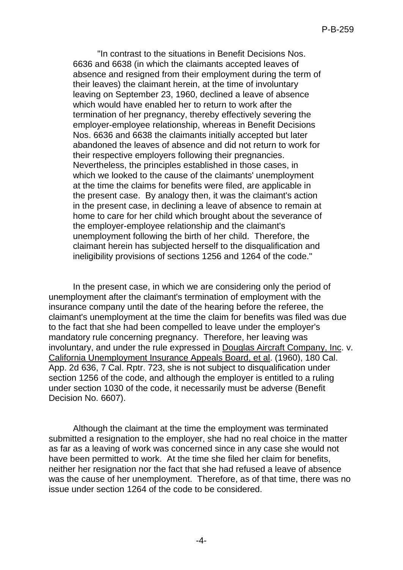"In contrast to the situations in Benefit Decisions Nos. 6636 and 6638 (in which the claimants accepted leaves of absence and resigned from their employment during the term of their leaves) the claimant herein, at the time of involuntary leaving on September 23, 1960, declined a leave of absence which would have enabled her to return to work after the termination of her pregnancy, thereby effectively severing the employer-employee relationship, whereas in Benefit Decisions Nos. 6636 and 6638 the claimants initially accepted but later abandoned the leaves of absence and did not return to work for their respective employers following their pregnancies. Nevertheless, the principles established in those cases, in which we looked to the cause of the claimants' unemployment at the time the claims for benefits were filed, are applicable in the present case. By analogy then, it was the claimant's action in the present case, in declining a leave of absence to remain at home to care for her child which brought about the severance of the employer-employee relationship and the claimant's unemployment following the birth of her child. Therefore, the claimant herein has subjected herself to the disqualification and ineligibility provisions of sections 1256 and 1264 of the code."

In the present case, in which we are considering only the period of unemployment after the claimant's termination of employment with the insurance company until the date of the hearing before the referee, the claimant's unemployment at the time the claim for benefits was filed was due to the fact that she had been compelled to leave under the employer's mandatory rule concerning pregnancy. Therefore, her leaving was involuntary, and under the rule expressed in Douglas Aircraft Company, Inc. v. California Unemployment Insurance Appeals Board, et al. (1960), 180 Cal. App. 2d 636, 7 Cal. Rptr. 723, she is not subject to disqualification under section 1256 of the code, and although the employer is entitled to a ruling under section 1030 of the code, it necessarily must be adverse (Benefit Decision No. 6607).

Although the claimant at the time the employment was terminated submitted a resignation to the employer, she had no real choice in the matter as far as a leaving of work was concerned since in any case she would not have been permitted to work. At the time she filed her claim for benefits, neither her resignation nor the fact that she had refused a leave of absence was the cause of her unemployment. Therefore, as of that time, there was no issue under section 1264 of the code to be considered.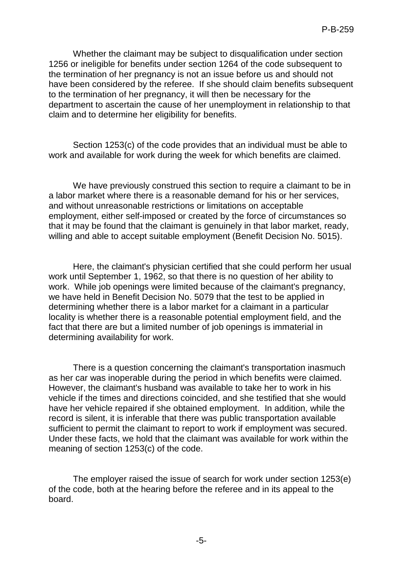Whether the claimant may be subject to disqualification under section 1256 or ineligible for benefits under section 1264 of the code subsequent to the termination of her pregnancy is not an issue before us and should not have been considered by the referee. If she should claim benefits subsequent to the termination of her pregnancy, it will then be necessary for the department to ascertain the cause of her unemployment in relationship to that claim and to determine her eligibility for benefits.

Section 1253(c) of the code provides that an individual must be able to work and available for work during the week for which benefits are claimed.

We have previously construed this section to require a claimant to be in a labor market where there is a reasonable demand for his or her services, and without unreasonable restrictions or limitations on acceptable employment, either self-imposed or created by the force of circumstances so that it may be found that the claimant is genuinely in that labor market, ready, willing and able to accept suitable employment (Benefit Decision No. 5015).

Here, the claimant's physician certified that she could perform her usual work until September 1, 1962, so that there is no question of her ability to work. While job openings were limited because of the claimant's pregnancy, we have held in Benefit Decision No. 5079 that the test to be applied in determining whether there is a labor market for a claimant in a particular locality is whether there is a reasonable potential employment field, and the fact that there are but a limited number of job openings is immaterial in determining availability for work.

There is a question concerning the claimant's transportation inasmuch as her car was inoperable during the period in which benefits were claimed. However, the claimant's husband was available to take her to work in his vehicle if the times and directions coincided, and she testified that she would have her vehicle repaired if she obtained employment. In addition, while the record is silent, it is inferable that there was public transportation available sufficient to permit the claimant to report to work if employment was secured. Under these facts, we hold that the claimant was available for work within the meaning of section 1253(c) of the code.

The employer raised the issue of search for work under section 1253(e) of the code, both at the hearing before the referee and in its appeal to the board.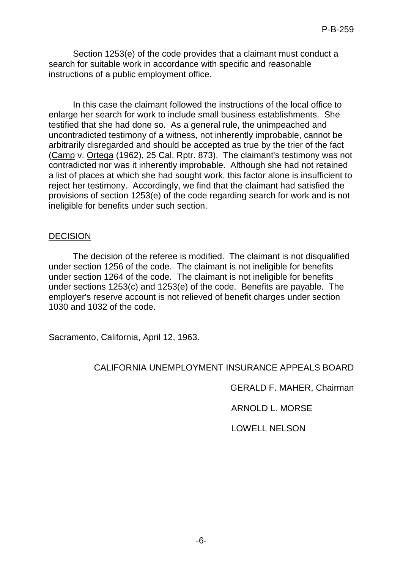Section 1253(e) of the code provides that a claimant must conduct a search for suitable work in accordance with specific and reasonable instructions of a public employment office.

In this case the claimant followed the instructions of the local office to enlarge her search for work to include small business establishments. She testified that she had done so. As a general rule, the unimpeached and uncontradicted testimony of a witness, not inherently improbable, cannot be arbitrarily disregarded and should be accepted as true by the trier of the fact (Camp v. Ortega (1962), 25 Cal. Rptr. 873). The claimant's testimony was not contradicted nor was it inherently improbable. Although she had not retained a list of places at which she had sought work, this factor alone is insufficient to reject her testimony. Accordingly, we find that the claimant had satisfied the provisions of section 1253(e) of the code regarding search for work and is not ineligible for benefits under such section.

### DECISION

The decision of the referee is modified. The claimant is not disqualified under section 1256 of the code. The claimant is not ineligible for benefits under section 1264 of the code. The claimant is not ineligible for benefits under sections 1253(c) and 1253(e) of the code. Benefits are payable. The employer's reserve account is not relieved of benefit charges under section 1030 and 1032 of the code.

Sacramento, California, April 12, 1963.

## CALIFORNIA UNEMPLOYMENT INSURANCE APPEALS BOARD

GERALD F. MAHER, Chairman

ARNOLD L. MORSE

LOWELL NELSON